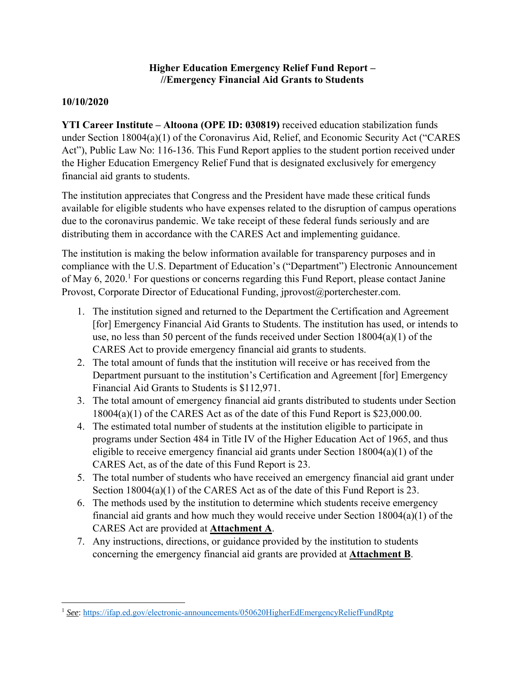## **Higher Education Emergency Relief Fund Report – //Emergency Financial Aid Grants to Students**

## **10/10/2020**

**YTI Career Institute – Altoona (OPE ID: 030819)** received education stabilization funds under Section 18004(a)(1) of the Coronavirus Aid, Relief, and Economic Security Act ("CARES Act"), Public Law No: 116-136. This Fund Report applies to the student portion received under the Higher Education Emergency Relief Fund that is designated exclusively for emergency financial aid grants to students.

The institution appreciates that Congress and the President have made these critical funds available for eligible students who have expenses related to the disruption of campus operations due to the coronavirus pandemic. We take receipt of these federal funds seriously and are distributing them in accordance with the CARES Act and implementing guidance.

The institution is making the below information available for transparency purposes and in compliance with the U.S. Department of Education's ("Department") Electronic Announcement of May 6, 2020.<sup>1</sup> For questions or concerns regarding this Fund Report, please contact Janine Provost, Corporate Director of Educational Funding, jprovost@porterchester.com.

- 1. The institution signed and returned to the Department the Certification and Agreement [for] Emergency Financial Aid Grants to Students. The institution has used, or intends to use, no less than 50 percent of the funds received under Section 18004(a)(1) of the CARES Act to provide emergency financial aid grants to students.
- 2. The total amount of funds that the institution will receive or has received from the Department pursuant to the institution's Certification and Agreement [for] Emergency Financial Aid Grants to Students is \$112,971.
- 3. The total amount of emergency financial aid grants distributed to students under Section 18004(a)(1) of the CARES Act as of the date of this Fund Report is \$23,000.00.
- 4. The estimated total number of students at the institution eligible to participate in programs under Section 484 in Title IV of the Higher Education Act of 1965, and thus eligible to receive emergency financial aid grants under Section 18004(a)(1) of the CARES Act, as of the date of this Fund Report is 23.
- 5. The total number of students who have received an emergency financial aid grant under Section 18004(a)(1) of the CARES Act as of the date of this Fund Report is 23.
- 6. The methods used by the institution to determine which students receive emergency financial aid grants and how much they would receive under Section 18004(a)(1) of the CARES Act are provided at **Attachment A**.
- 7. Any instructions, directions, or guidance provided by the institution to students concerning the emergency financial aid grants are provided at **Attachment B**.

 <sup>1</sup> *See*: https://ifap.ed.gov/electronic-announcements/050620HigherEdEmergencyReliefFundRptg